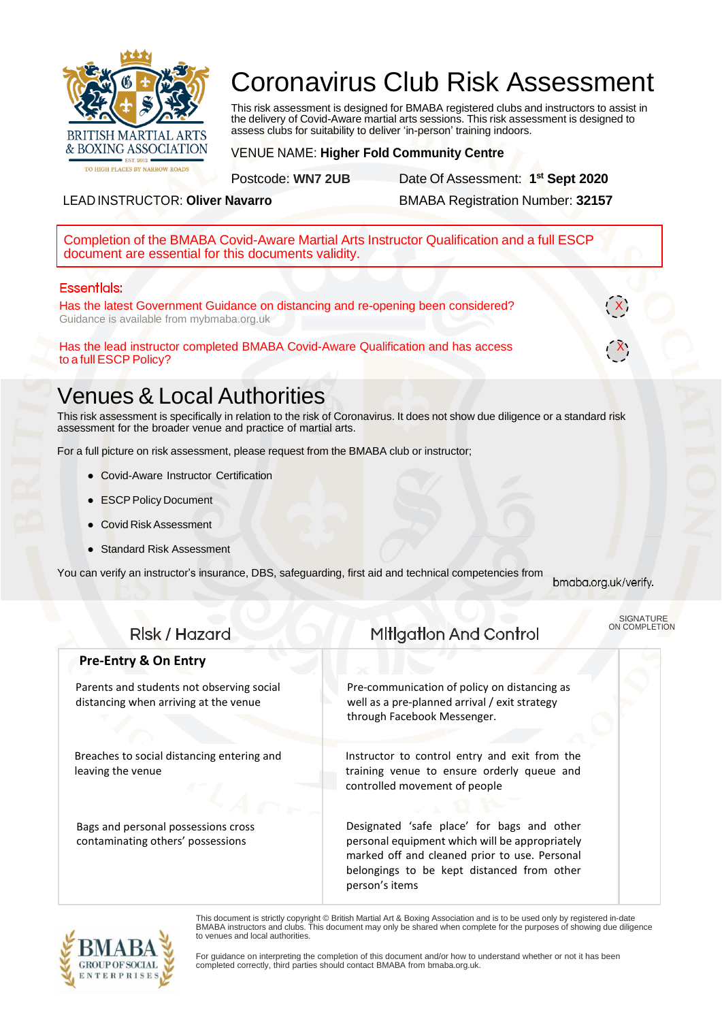

# Coronavirus Club Risk Assessment

This risk assessment is designed for BMABA registered clubs and instructors to assist in the delivery of Covid-Aware martial arts sessions. This risk assessment is designed to assess clubs for suitability to deliver 'in-person' training indoors.

VENUE NAME: **Higher Fold Community Centre**

Postcode: **WN7 2UB** Date Of Assessment: **1 st Sept 2020**

LEAD INSTRUCTOR: **Oliver Navarro** BMABA Registration Number: **32157**

Completion of the BMABA Covid-Aware Martial Arts Instructor Qualification and a full ESCP document are essential for this documents validity.

#### **Essentlals:**

Has the latest Government Guidance on distancing and re-opening been considered? Guidance is available from mybmaba.org.uk

Has the lead instructor completed BMABA Covid-Aware Qualification and has access X to a full ESCP Policy?

## Venues & Local Authorities

This risk assessment is specifically in relation to the risk of Coronavirus. It does not show due diligence or a standard risk assessment for the broader venue and practice of martial arts.

For a full picture on risk assessment, please request from the BMABA club or instructor;

- Covid-Aware Instructor Certification
- ESCP Policy Document
- Covid Risk Assessment
- **Standard Risk Assessment**

You can verify an instructor's insurance, DBS, safeguarding, first aid and technical competencies from

bmaba.org.uk/verify.

SIGNATURE ON COMPLETION

#### **Mitigation And Control** Rlsk / Hazard **Pre-Entry & On Entry** Parents and students not observing social Pre-communication of policy on distancing as distancing when arriving at the venue well as a pre-planned arrival / exit strategy through Facebook Messenger. Breaches to social distancing entering and Instructor to control entry and exit from the training venue to ensure orderly queue and leaving the venue controlled movement of people Bags and personal possessions cross Designated 'safe place' for bags and other contaminating others' possessions personal equipment which will be appropriately marked off and cleaned prior to use. Personal belongings to be kept distanced from other person's items



This document is strictly copyright © British Martial Art & Boxing Association and is to be used only by registered in-date BMABA instructors and clubs. This document may only be shared when complete for the purposes of showing due diligence to venues and local authorities.

For guidance on interpreting the completion of this document and/or how to understand whether or not it has been completed correctly, third parties should contact BMABA from bmaba.org.uk.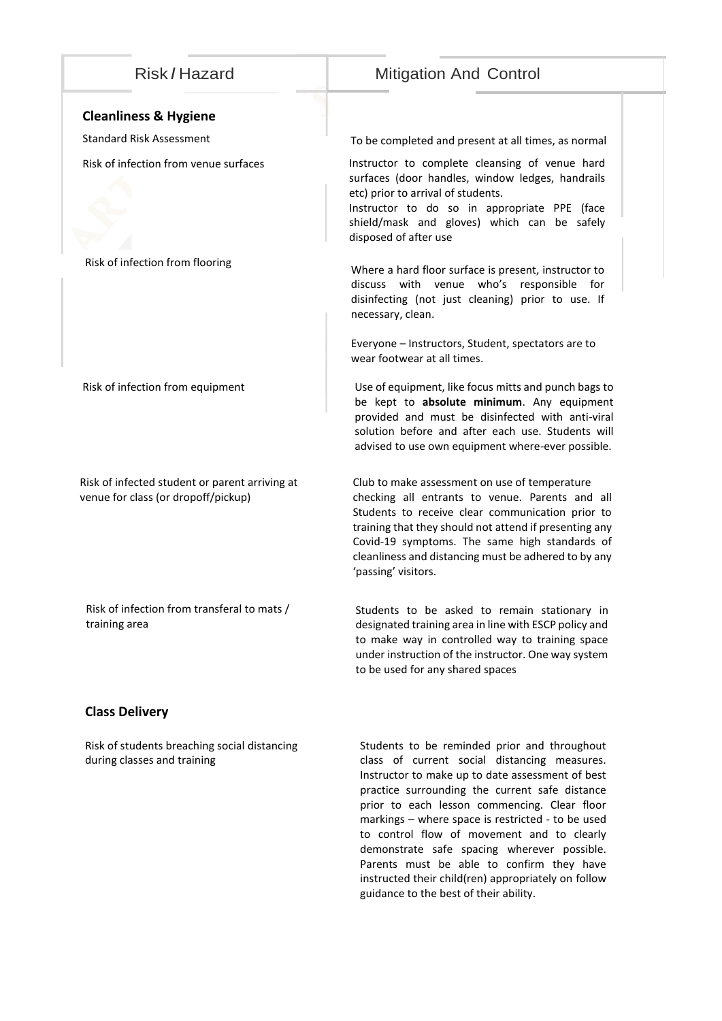### Risk *I* Hazard Mitigation And Control

#### **Cleanliness & Hygiene**

Risk of infection from flooring

Risk of infection from equipment

Risk of infected student or parent arriving at venue for class (or dropoff/pickup)

Risk of infection from transferal to mats /

training area

Standard Risk Assessment To be completed and present at all times, as normal

Risk of infection from venue surfaces **Instructor** to complete cleansing of venue hard surfaces (door handles, window ledges, handrails etc) prior to arrival of students.

> Instructor to do so in appropriate PPE (face shield/mask and gloves) which can be safely disposed of after use

> Where a hard floor surface is present, instructor to discuss with venue who's responsible for disinfecting (not just cleaning) prior to use. If necessary, clean.

Everyone – Instructors, Student, spectators are to wear footwear at all times.

Use of equipment, like focus mitts and punch bags to be kept to **absolute minimum**. Any equipment provided and must be disinfected with anti-viral solution before and after each use. Students will advised to use own equipment where-ever possible.

Club to make assessment on use of temperature checking all entrants to venue. Parents and all Students to receive clear communication prior to training that they should not attend if presenting any Covid-19 symptoms. The same high standards of cleanliness and distancing must be adhered to by any 'passing' visitors.

Students to be asked to remain stationary in designated training area in line with ESCP policy and to make way in controlled way to training space under instruction of the instructor. One way system to be used for any shared spaces

#### **Class Delivery**

Risk of students breaching social distancing during classes and training

Students to be reminded prior and throughout class of current social distancing measures. Instructor to make up to date assessment of best practice surrounding the current safe distance prior to each lesson commencing. Clear floor markings – where space is restricted - to be used to control flow of movement and to clearly demonstrate safe spacing wherever possible. Parents must be able to confirm they have instructed their child(ren) appropriately on follow guidance to the best of their ability.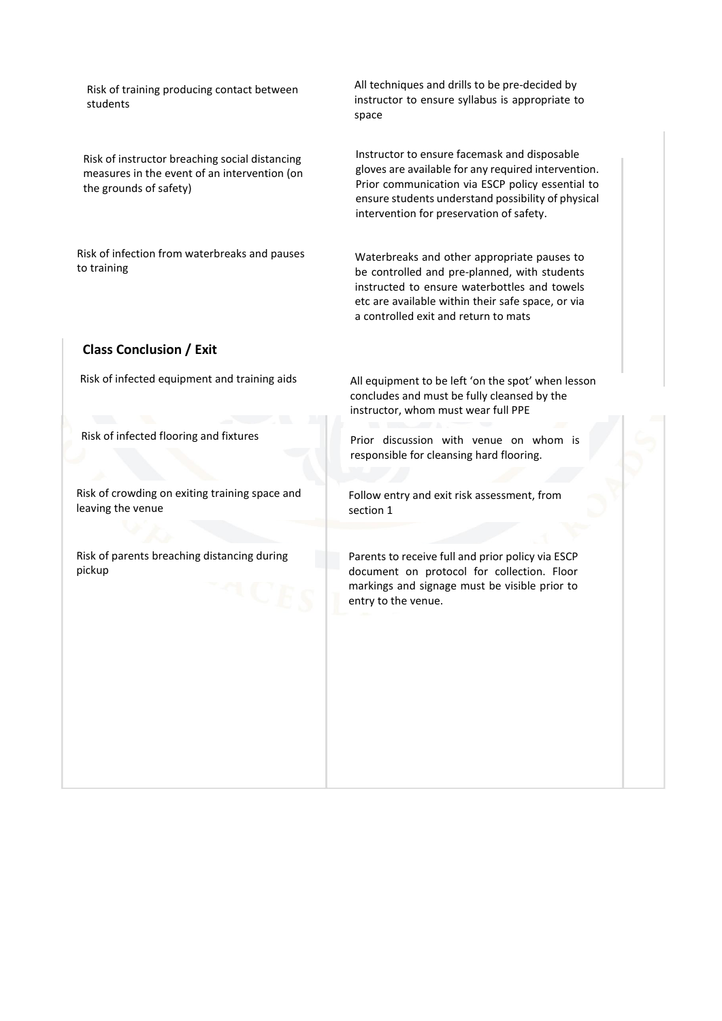Risk of training producing contact between students

Risk of instructor breaching social distancing measures in the event of an intervention (on the grounds of safety)

Risk of infection from waterbreaks and pauses to training

All techniques and drills to be pre-decided by instructor to ensure syllabus is appropriate to space

Instructor to ensure facemask and disposable gloves are available for any required intervention. Prior communication via ESCP policy essential to ensure students understand possibility of physical intervention for preservation of safety.

Waterbreaks and other appropriate pauses to be controlled and pre-planned, with students instructed to ensure waterbottles and towels etc are available within their safe space, or via a controlled exit and return to mats

#### **Class Conclusion / Exit**

Risk of infected equipment and training aids

Risk of infected flooring and fixtures

Risk of crowding on exiting training space and leaving the venue

Risk of parents breaching distancing during pickup

All equipment to be left 'on the spot' when lesson concludes and must be fully cleansed by the instructor, whom must wear full PPE

Prior discussion with venue on whom is responsible for cleansing hard flooring.

Follow entry and exit risk assessment, from section 1

Parents to receive full and prior policy via ESCP document on protocol for collection. Floor markings and signage must be visible prior to entry to the venue.